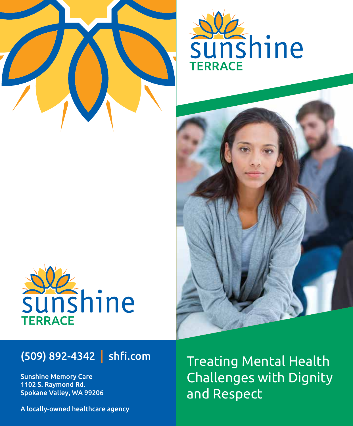





## (509) 892-4342 | shfi.com

Sunshine Memory Care 1102 S. Raymond Rd. Spokane Valley, WA 99206 Treating Mental Health Challenges with Dignity and Respect

A locally-owned healthcare agency